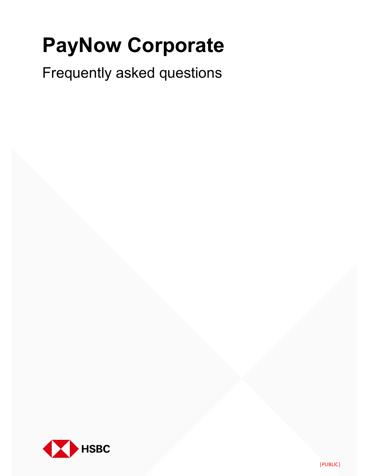# **PayNow Corporate**

Frequently asked questions

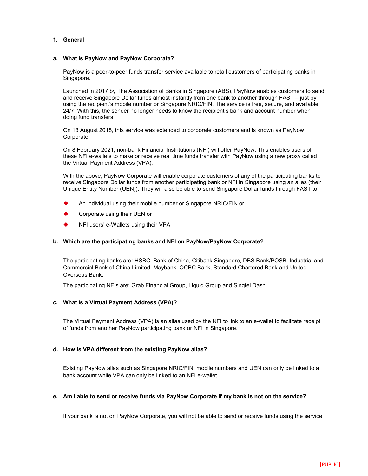# **1. General**

# **a. What is PayNow and PayNow Corporate?**

PayNow is a peer-to-peer funds transfer service available to retail customers of participating banks in Singapore.

Launched in 2017 by The Association of Banks in Singapore (ABS), PayNow enables customers to send and receive Singapore Dollar funds almost instantly from one bank to another through FAST – just by using the recipient's mobile number or Singapore NRIC/FIN. The service is free, secure, and available 24/7. With this, the sender no longer needs to know the recipient's bank and account number when doing fund transfers.

On 13 August 2018, this service was extended to corporate customers and is known as PayNow Corporate.

On 8 February 2021, non-bank Financial Instritutions (NFI) will offer PayNow. This enables users of these NFI e-wallets to make or receive real time funds transfer with PayNow using a new proxy called the Virtual Payment Address (VPA).

With the above, PayNow Corporate will enable corporate customers of any of the participating banks to receive Singapore Dollar funds from another participating bank or NFI in Singapore using an alias (their Unique Entity Number (UEN)). They will also be able to send Singapore Dollar funds through FAST to

- An individual using their mobile number or Singapore NRIC/FIN or
- Corporate using their UEN or
- NFI users' e-Wallets using their VPA

# **b. Which are the participating banks and NFI on PayNow/PayNow Corporate?**

The participating banks are: HSBC, Bank of China, Citibank Singapore, DBS Bank/POSB, Industrial and Commercial Bank of China Limited, Maybank, OCBC Bank, Standard Chartered Bank and United Overseas Bank.

The participating NFIs are: Grab Financial Group, Liquid Group and Singtel Dash.

# **c. What is a Virtual Payment Address (VPA)?**

The Virtual Payment Address (VPA) is an alias used by the NFI to link to an e-wallet to facilitate receipt of funds from another PayNow participating bank or NFI in Singapore.

# **d. How is VPA different from the existing PayNow alias?**

Existing PayNow alias such as Singapore NRIC/FIN, mobile numbers and UEN can only be linked to a bank account while VPA can only be linked to an NFI e-wallet.

# **e. Am I able to send or receive funds via PayNow Corporate if my bank is not on the service?**

If your bank is not on PayNow Corporate, you will not be able to send or receive funds using the service.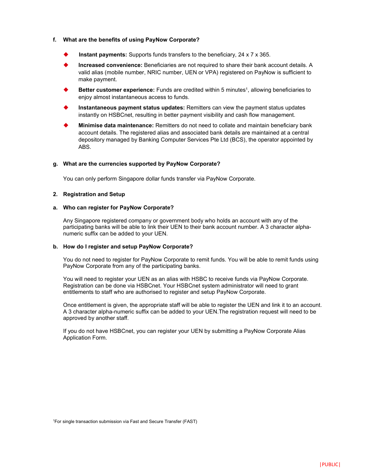# **f. What are the benefits of using PayNow Corporate?**

- **Instant payments:** Supports funds transfers to the beneficiary, 24 x 7 x 365.
- **Increased convenience:** Beneficiaries are not required to share their bank account details. A valid alias (mobile number, NRIC number, UEN or VPA) registered on PayNow is sufficient to make payment.
- ◆ **Better customer experience:** Funds are credited within 5 minutes<sup>1</sup>, allowing beneficiaries to enjoy almost instantaneous access to funds.
- **Instantaneous payment status updates:** Remitters can view the payment status updates instantly on HSBCnet, resulting in better payment visibility and cash flow management.
- **Minimise data maintenance:** Remitters do not need to collate and maintain beneficiary bank account details. The registered alias and associated bank details are maintained at a central depository managed by Banking Computer Services Pte Ltd (BCS), the operator appointed by ABS.

# **g. What are the currencies supported by PayNow Corporate?**

You can only perform Singapore dollar funds transfer via PayNow Corporate.

# **2. Registration and Setup**

# **a. Who can register for PayNow Corporate?**

Any Singapore registered company or government body who holds an account with any of the participating banks will be able to link their UEN to their bank account number. A 3 character alphanumeric suffix can be added to your UEN.

# **b. How do I register and setup PayNow Corporate?**

You do not need to register for PayNow Corporate to remit funds. You will be able to remit funds using PayNow Corporate from any of the participating banks.

You will need to register your UEN as an alias with HSBC to receive funds via PayNow Corporate. Registration can be done via HSBCnet. Your HSBCnet system administrator will need to grant entitlements to staff who are authorised to register and setup PayNow Corporate.

Once entitlement is given, the appropriate staff will be able to register the UEN and link it to an account. A 3 character alpha-numeric suffix can be added to your UEN.The registration request will need to be approved by another staff.

If you do not have HSBCnet, you can register your UEN by submitting a PayNow Corporate Alias Application Form.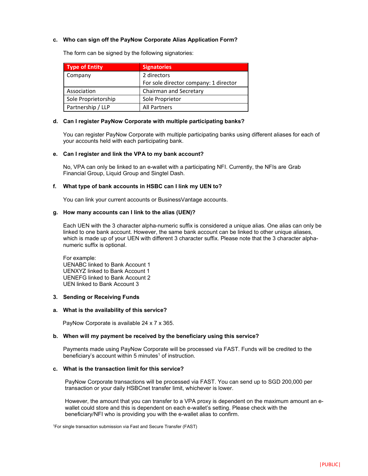# **c. Who can sign off the PayNow Corporate Alias Application Form?**

The form can be signed by the following signatories:

| <b>Type of Entity</b> | <b>Signatories</b>                    |
|-----------------------|---------------------------------------|
| Company               | 2 directors                           |
|                       | For sole director company: 1 director |
| Association           | Chairman and Secretary                |
| Sole Proprietorship   | Sole Proprietor                       |
| Partnership / LLP     | All Partners                          |

# **d. Can I register PayNow Corporate with multiple participating banks?**

You can register PayNow Corporate with multiple participating banks using different aliases for each of your accounts held with each participating bank.

#### **e. Can I register and link the VPA to my bank account?**

No, VPA can only be linked to an e-wallet with a participating NFI. Currently, the NFIs are Grab Financial Group, Liquid Group and Singtel Dash.

#### **f. What type of bank accounts in HSBC can I link my UEN to?**

You can link your current accounts or BusinessVantage accounts.

#### **g. How many accounts can I link to the alias (UEN)?**

Each UEN with the 3 character alpha-numeric suffix is considered a unique alias. One alias can only be linked to one bank account. However, the same bank account can be linked to other unique aliases, which is made up of your UEN with different 3 character suffix. Please note that the 3 character alphanumeric suffix is optional.

For example: UENABC linked to Bank Account 1 UENXYZ linked to Bank Account 1 UENEFG linked to Bank Account 2 UEN linked to Bank Account 3

## **3. Sending or Receiving Funds**

#### **a. What is the availability of this service?**

PayNow Corporate is available 24 x 7 x 365.

#### **b. When will my payment be received by the beneficiary using this service?**

Payments made using PayNow Corporate will be processed via FAST. Funds will be credited to the beneficiary's account within 5 minutes<sup>1</sup> of instruction.

# **c. What is the transaction limit for this service?**

PayNow Corporate transactions will be processed via FAST. You can send up to SGD 200,000 per transaction or your daily HSBCnet transfer limit, whichever is lower.

However, the amount that you can transfer to a VPA proxy is dependent on the maximum amount an ewallet could store and this is dependent on each e-wallet's setting. Please check with the beneficiary/NFI who is providing you with the e-wallet alias to confirm.

1For single transaction submission via Fast and Secure Transfer (FAST)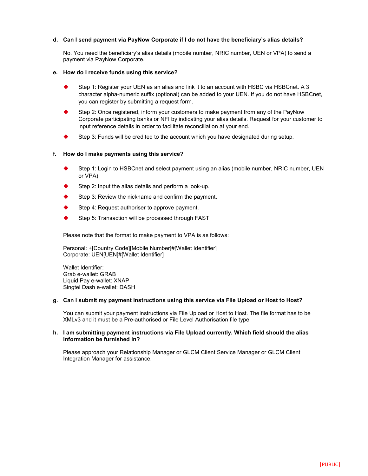# **d. Can I send payment via PayNow Corporate if I do not have the beneficiary's alias details?**

No. You need the beneficiary's alias details (mobile number, NRIC number, UEN or VPA) to send a payment via PayNow Corporate.

# **e. How do I receive funds using this service?**

- Step 1: Register your UEN as an alias and link it to an account with HSBC via HSBCnet. A 3 character alpha-numeric suffix (optional) can be added to your UEN. If you do not have HSBCnet, you can register by submitting a request form.
- Step 2: Once registered, inform your customers to make payment from any of the PayNow Corporate participating banks or NFI by indicating your alias details. Request for your customer to input reference details in order to facilitate reconciliation at your end.
- Step 3: Funds will be credited to the account which you have designated during setup.

# **f. How do I make payments using this service?**

- Step 1: Login to HSBCnet and select payment using an alias (mobile number, NRIC number, UEN or VPA).
- Step 2: Input the alias details and perform a look-up.
- Step 3: Review the nickname and confirm the payment.
- Step 4: Request authoriser to approve payment.
- Step 5: Transaction will be processed through FAST.

Please note that the format to make payment to VPA is as follows:

Personal: +[Country Code][Mobile Number]#[Wallet Identifier] Corporate: UEN[UEN]#[Wallet Identifier]

Wallet Identifier: Grab e-wallet: GRAB Liquid Pay e-wallet: XNAP Singtel Dash e-wallet: DASH

#### **g. Can I submit my payment instructions using this service via File Upload or Host to Host?**

You can submit your payment instructions via File Upload or Host to Host. The file format has to be XMLv3 and it must be a Pre-authorised or File Level Authorisation file type.

# **h. I am submitting payment instructions via File Upload currently. Which field should the alias information be furnished in?**

Please approach your Relationship Manager or GLCM Client Service Manager or GLCM Client Integration Manager for assistance.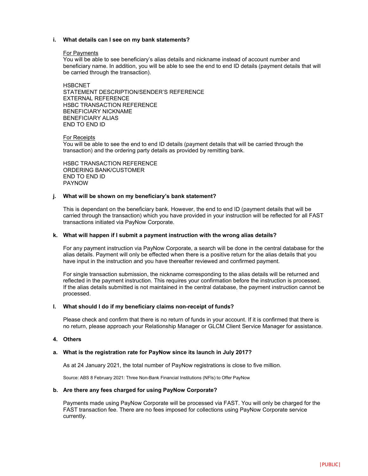# **i. What details can I see on my bank statements?**

#### For Payments

You will be able to see beneficiary's alias details and nickname instead of account number and beneficiary name. In addition, you will be able to see the end to end ID details (payment details that will be carried through the transaction).

**HSBCNET** STATEMENT DESCRIPTION/SENDER'S REFERENCE EXTERNAL REFERENCE HSBC TRANSACTION REFERENCE BENEFICIARY NICKNAME BENEFICIARY ALIAS END TO END ID

# For Receipts

You will be able to see the end to end ID details (payment details that will be carried through the transaction) and the ordering party details as provided by remitting bank.

HSBC TRANSACTION REFERENCE ORDERING BANK/CUSTOMER END TO END ID PAYNOW

#### **j. What will be shown on my beneficiary's bank statement?**

This is dependant on the beneficiary bank. However, the end to end ID (payment details that will be carried through the transaction) which you have provided in your instruction will be reflected for all FAST transactions initiated via PayNow Corporate.

# **k. What will happen if I submit a payment instruction with the wrong alias details?**

For any payment instruction via PayNow Corporate, a search will be done in the central database for the alias details. Payment will only be effected when there is a positive return for the alias details that you have input in the instruction and you have thereafter reviewed and confirmed payment.

For single transaction submission, the nickname corresponding to the alias details will be returned and reflected in the payment instruction. This requires your confirmation before the instruction is processed. If the alias details submitted is not maintained in the central database, the payment instruction cannot be processed.

# **l. What should I do if my beneficiary claims non-receipt of funds?**

Please check and confirm that there is no return of funds in your account. If it is confirmed that there is no return, please approach your Relationship Manager or GLCM Client Service Manager for assistance.

# **4. Others**

# **a. What is the registration rate for PayNow since its launch in July 2017?**

As at 24 January 2021, the total number of PayNow registrations is close to five million.

Source: ABS 8 February 2021: Three Non-Bank Financial Institutions (NFIs) to Offer PayNow

#### **b. Are there any fees charged for using PayNow Corporate?**

Payments made using PayNow Corporate will be processed via FAST. You will only be charged for the FAST transaction fee. There are no fees imposed for collections using PayNow Corporate service currently.